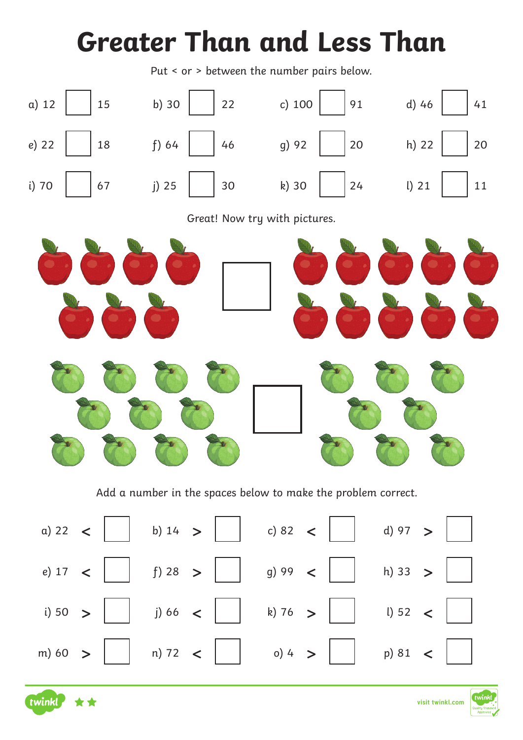## **Greater Than and Less Than**

Put < or > between the number pairs below.



Add a number in the spaces below to make the problem correct.





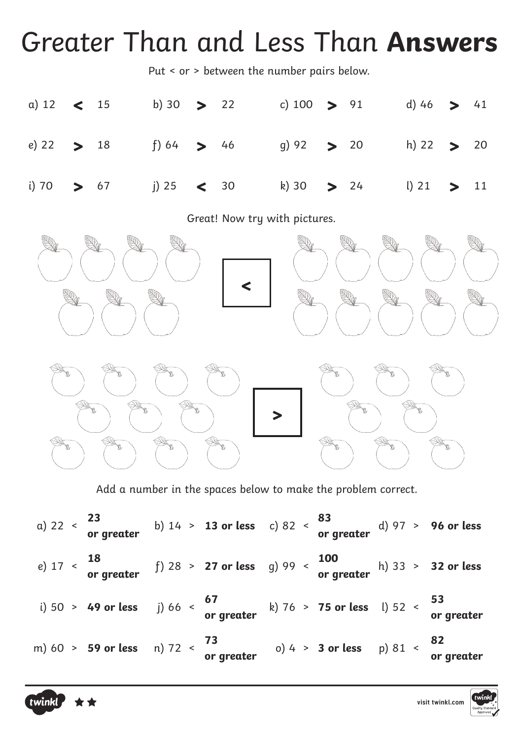## Greater Than and Less Than **Answers**

Put < or > between the number pairs below.

|  |  | a) 12 < 15 b) 30 > 22 c) 100 > 91 d) 46 > 41 |  |  |  |
|--|--|----------------------------------------------|--|--|--|
|  |  | e) 22 > 18 f) 64 > 46 g) 92 > 20 h) 22 > 20  |  |  |  |
|  |  | i) 70 > 67 i) 25 < 30 k) 30 > 24 l) 21 > 11  |  |  |  |

Great! Now try with pictures.



Add a number in the spaces below to make the problem correct.

|  | a) 22 < $\frac{23}{\text{or greater}}$ b) 14 > 13 or less c) 82 < $\frac{83}{\text{or greater}}$ d) 97 > 96 or less |  |  |  |
|--|---------------------------------------------------------------------------------------------------------------------|--|--|--|
|  | e) $17 18$ f) $28 > 27$ or less g) $99 100$ h) $33 > 32$ or less or greater                                         |  |  |  |
|  | i) 50 > 49 or less j) 66 $\leftarrow$ 67 k) 76 > 75 or less l) 52 $\leftarrow$ 53 cr greater                        |  |  |  |
|  | m) 60 > 59 or less n) 72 $\langle$ 73 or $\vert$ 0) 4 > 3 or less p) 81 $\langle$ 82 or greater                     |  |  |  |



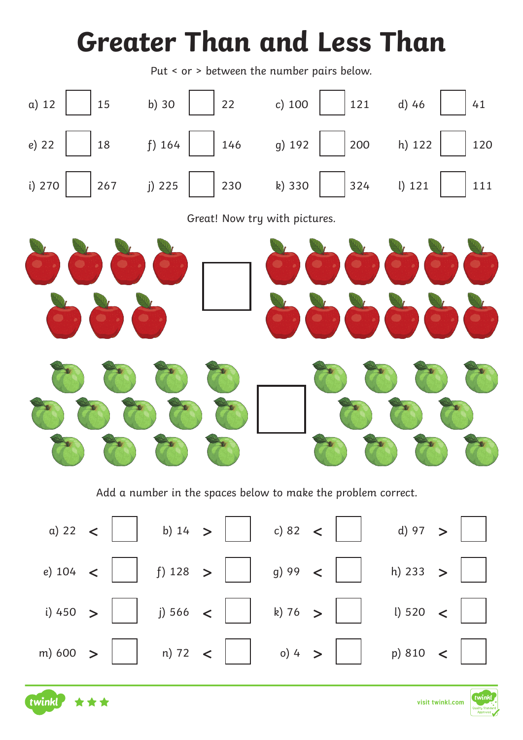## **Greater Than and Less Than**

Put < or > between the number pairs below.



Add a number in the spaces below to make the problem correct.